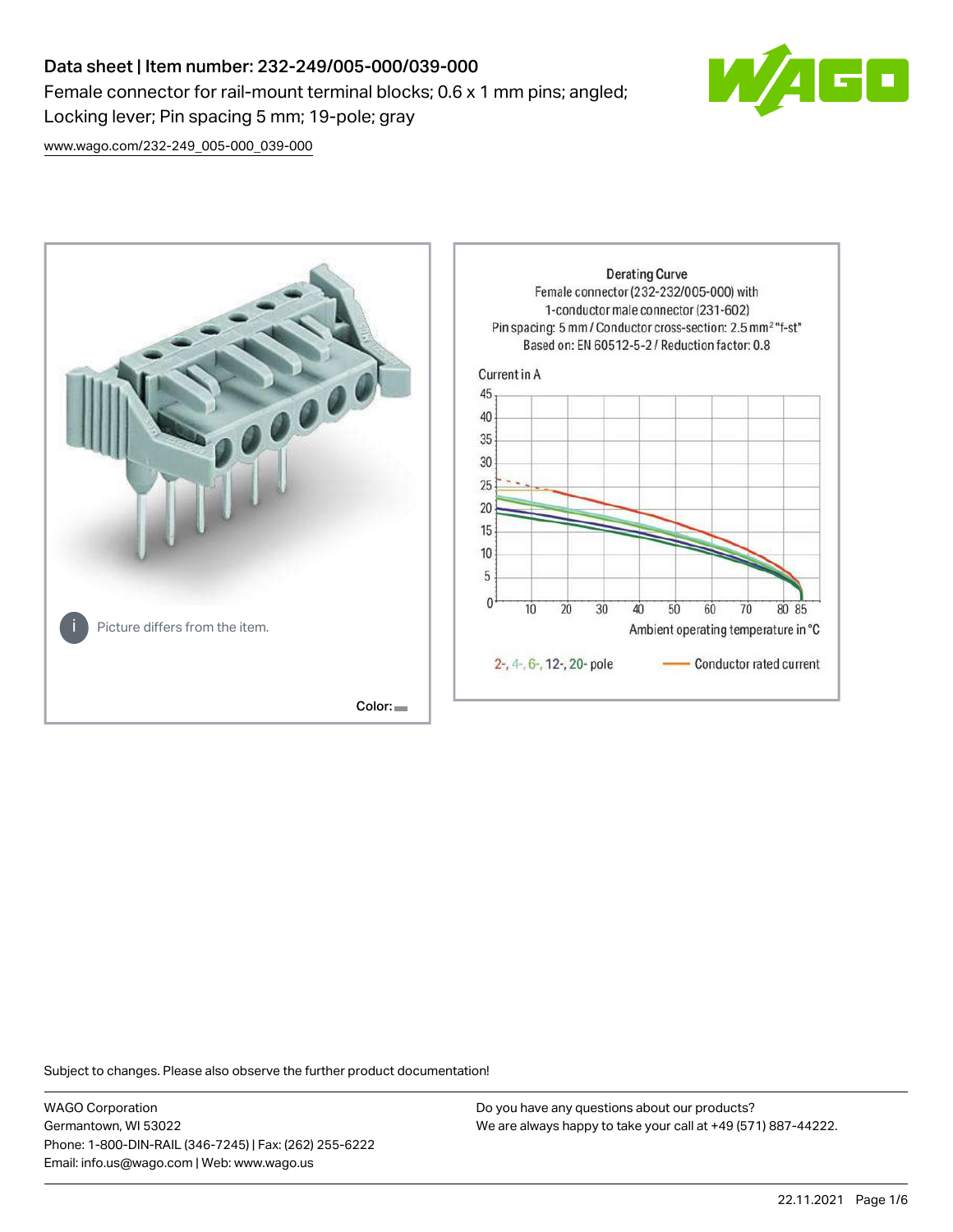# Data sheet | Item number: 232-249/005-000/039-000 Female connector for rail-mount terminal blocks; 0.6 x 1 mm pins; angled; Locking lever; Pin spacing 5 mm; 19-pole; gray



[www.wago.com/232-249\\_005-000\\_039-000](http://www.wago.com/232-249_005-000_039-000)



Subject to changes. Please also observe the further product documentation!

WAGO Corporation Germantown, WI 53022 Phone: 1-800-DIN-RAIL (346-7245) | Fax: (262) 255-6222 Email: info.us@wago.com | Web: www.wago.us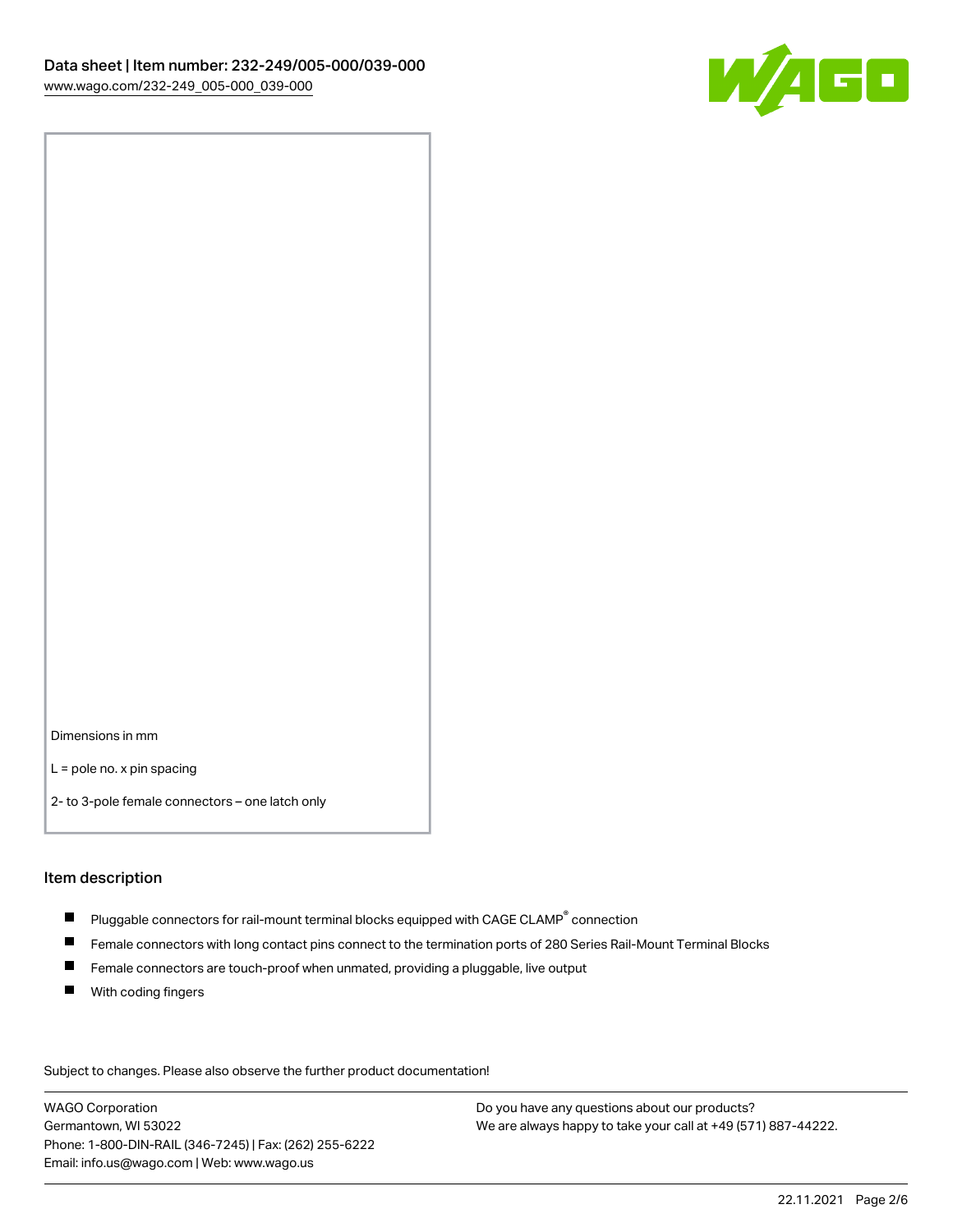

Dimensions in mm

L = pole no. x pin spacing

2- to 3-pole female connectors – one latch only

#### Item description

- $\blacksquare$  Pluggable connectors for rail-mount terminal blocks equipped with CAGE CLAMP $^\circ$  connection
- Female connectors with long contact pins connect to the termination ports of 280 Series Rail-Mount Terminal Blocks
- $\blacksquare$ Female connectors are touch-proof when unmated, providing a pluggable, live output
- $\blacksquare$ With coding fingers

Subject to changes. Please also observe the further product documentation! Data

WAGO Corporation Germantown, WI 53022 Phone: 1-800-DIN-RAIL (346-7245) | Fax: (262) 255-6222 Email: info.us@wago.com | Web: www.wago.us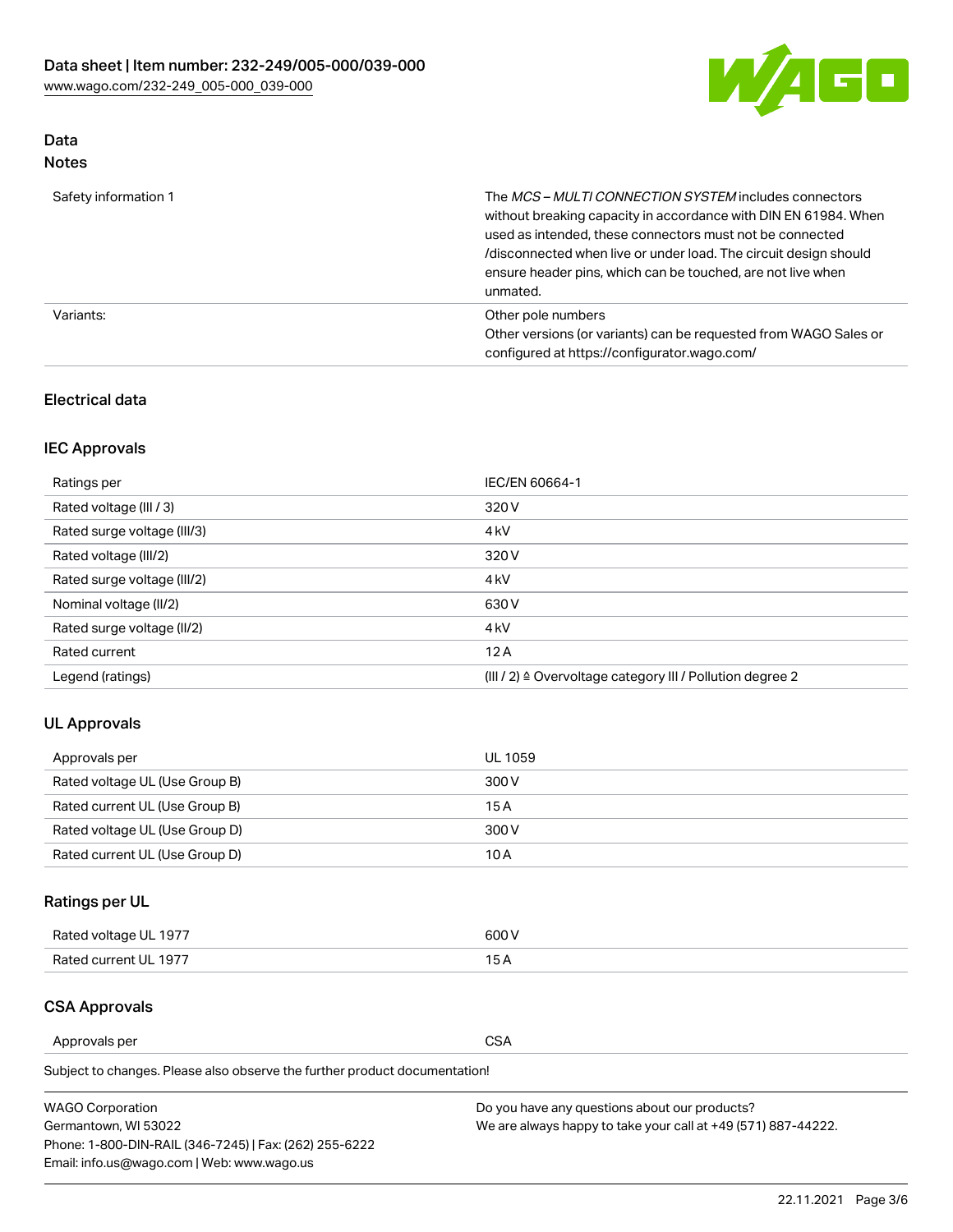

# Data

| Safety information 1 | The MCS-MULTI CONNECTION SYSTEM includes connectors<br>without breaking capacity in accordance with DIN EN 61984. When<br>used as intended, these connectors must not be connected<br>/disconnected when live or under load. The circuit design should<br>ensure header pins, which can be touched, are not live when<br>unmated. |
|----------------------|-----------------------------------------------------------------------------------------------------------------------------------------------------------------------------------------------------------------------------------------------------------------------------------------------------------------------------------|
| Variants:            | Other pole numbers<br>Other versions (or variants) can be requested from WAGO Sales or<br>configured at https://configurator.wago.com/                                                                                                                                                                                            |

# Electrical data

# IEC Approvals

| Ratings per                 | IEC/EN 60664-1                                                        |
|-----------------------------|-----------------------------------------------------------------------|
| Rated voltage (III / 3)     | 320 V                                                                 |
| Rated surge voltage (III/3) | 4 <sub>k</sub> V                                                      |
| Rated voltage (III/2)       | 320 V                                                                 |
| Rated surge voltage (III/2) | 4 <sub>k</sub> V                                                      |
| Nominal voltage (II/2)      | 630 V                                                                 |
| Rated surge voltage (II/2)  | 4 <sub>k</sub> V                                                      |
| Rated current               | 12A                                                                   |
| Legend (ratings)            | $(III / 2)$ $\triangle$ Overvoltage category III / Pollution degree 2 |

# UL Approvals

| Approvals per                  | UL 1059 |
|--------------------------------|---------|
| Rated voltage UL (Use Group B) | 300 V   |
| Rated current UL (Use Group B) | 15 A    |
| Rated voltage UL (Use Group D) | 300 V   |
| Rated current UL (Use Group D) | 10 A    |

# Ratings per UL

| Rated voltage UL 1977 | 300 V |
|-----------------------|-------|
| Rated current UL 1977 |       |

# CSA Approvals

Approvals per CSA

Subject to changes. Please also observe the further product documentation!

| <b>WAGO Corporation</b>                                | Do you have any questions about our products?                 |
|--------------------------------------------------------|---------------------------------------------------------------|
| Germantown, WI 53022                                   | We are always happy to take your call at +49 (571) 887-44222. |
| Phone: 1-800-DIN-RAIL (346-7245)   Fax: (262) 255-6222 |                                                               |
| Email: info.us@wago.com   Web: www.wago.us             |                                                               |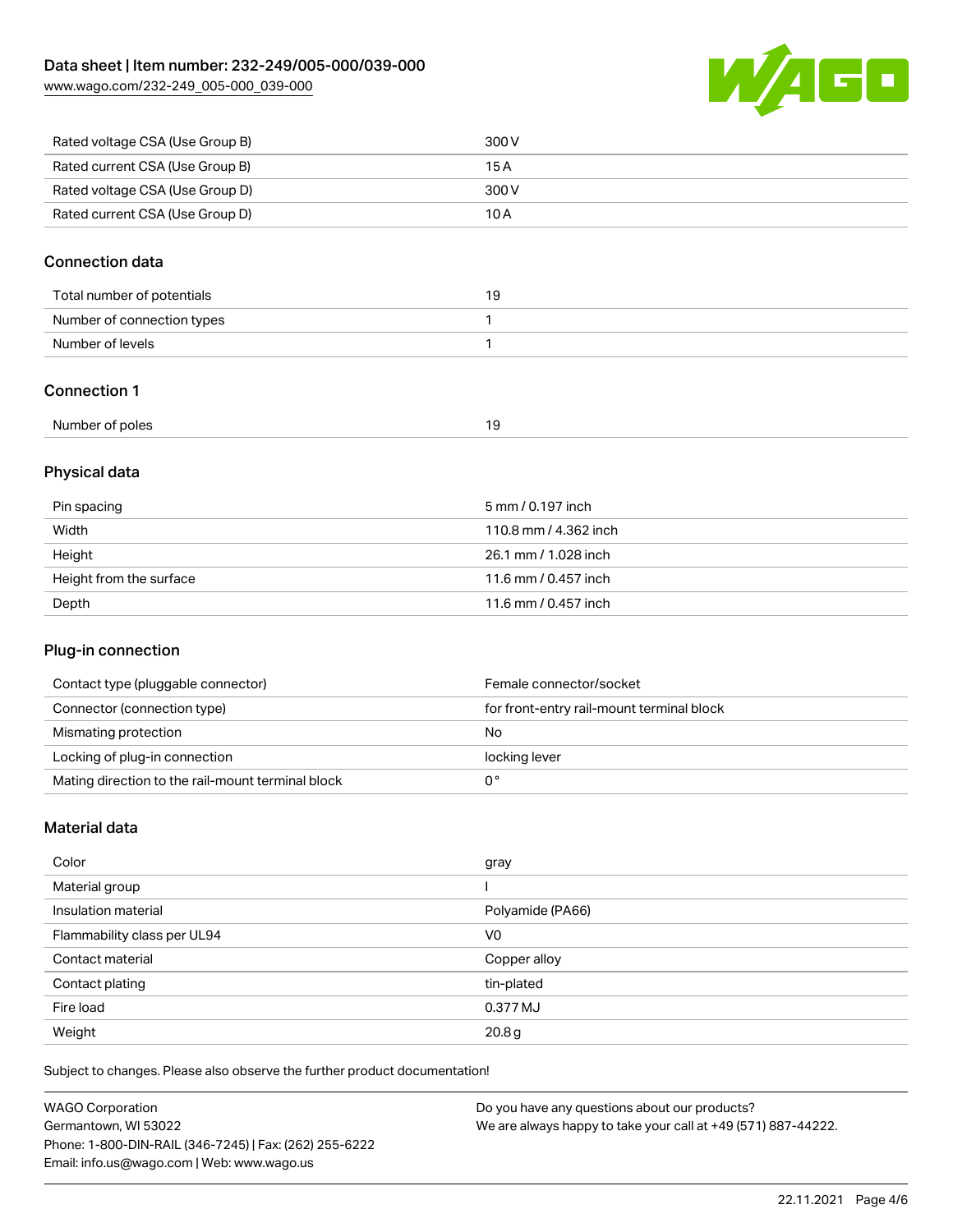[www.wago.com/232-249\\_005-000\\_039-000](http://www.wago.com/232-249_005-000_039-000)



| Rated voltage CSA (Use Group B) | 300 V |
|---------------------------------|-------|
| Rated current CSA (Use Group B) | 15 A  |
| Rated voltage CSA (Use Group D) | 300 V |
| Rated current CSA (Use Group D) | 10 A  |

# Connection data

| Total number of potentials | 19 |
|----------------------------|----|
| Number of connection types |    |
| Number of levels           |    |

### Connection 1

| Number of poles<br>. |  |
|----------------------|--|
|----------------------|--|

# Physical data

| Pin spacing             | 5 mm / 0.197 inch     |
|-------------------------|-----------------------|
| Width                   | 110.8 mm / 4.362 inch |
| Height                  | 26.1 mm / 1.028 inch  |
| Height from the surface | 11.6 mm / 0.457 inch  |
| Depth                   | 11.6 mm / 0.457 inch  |

## Plug-in connection

| Contact type (pluggable connector)                | Female connector/socket                   |
|---------------------------------------------------|-------------------------------------------|
| Connector (connection type)                       | for front-entry rail-mount terminal block |
| Mismating protection                              | No                                        |
| Locking of plug-in connection                     | locking lever                             |
| Mating direction to the rail-mount terminal block |                                           |

# Material data

| Color                       | gray             |
|-----------------------------|------------------|
| Material group              |                  |
| Insulation material         | Polyamide (PA66) |
| Flammability class per UL94 | V <sub>0</sub>   |
| Contact material            | Copper alloy     |
| Contact plating             | tin-plated       |
| Fire load                   | 0.377 MJ         |
| Weight                      | 20.8g            |

Subject to changes. Please also observe the further product documentation!

| <b>WAGO Corporation</b>                                | Do you have any questions about our products?                 |
|--------------------------------------------------------|---------------------------------------------------------------|
| Germantown, WI 53022                                   | We are always happy to take your call at +49 (571) 887-44222. |
| Phone: 1-800-DIN-RAIL (346-7245)   Fax: (262) 255-6222 |                                                               |
| Email: info.us@wago.com   Web: www.wago.us             |                                                               |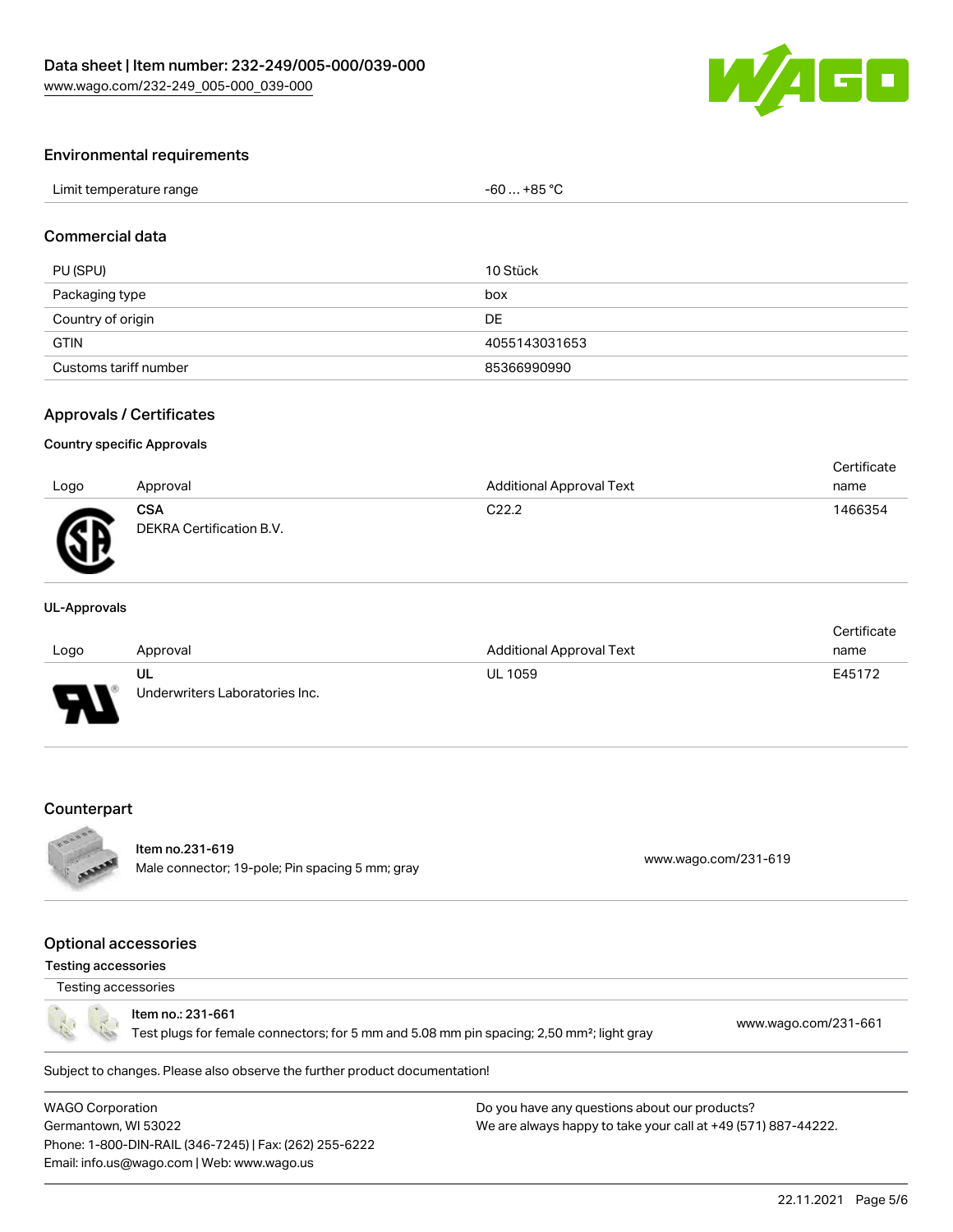

#### Environmental requirements

| Limit temperature range | … +85 °C.<br>c٢<br>-n'<br>JU |
|-------------------------|------------------------------|
|-------------------------|------------------------------|

## Commercial data

| PU (SPU)              | 10 Stück      |
|-----------------------|---------------|
| Packaging type        | box           |
| Country of origin     | DE            |
| <b>GTIN</b>           | 4055143031653 |
| Customs tariff number | 85366990990   |

#### Approvals / Certificates

#### Country specific Approvals

| Logo | Approval                               | <b>Additional Approval Text</b> | Certificate<br>name |
|------|----------------------------------------|---------------------------------|---------------------|
| Ж    | <b>CSA</b><br>DEKRA Certification B.V. | C <sub>22.2</sub>               | 1466354             |

#### UL-Approvals

|      |                                |                                 | Certificate |
|------|--------------------------------|---------------------------------|-------------|
| Logo | Approval                       | <b>Additional Approval Text</b> | name        |
|      | UL                             | <b>UL 1059</b>                  | E45172      |
| J    | Underwriters Laboratories Inc. |                                 |             |

#### **Counterpart**



# Item no.231-619

nem 10.251-019<br>Male connector; 19-pole; Pin spacing 5 mm; gray [www.wago.com/231-619](https://www.wago.com/231-619)

### Optional accessories

### Testing accessories

# Testing accessories

Item no.: 231-661

Test plugs for female connectors; for 5 mm and 5.08 mm pin spacing; 2,50 mm²; light gray [www.wago.com/231-661](http://www.wago.com/231-661)

Subject to changes. Please also observe the further product documentation!

WAGO Corporation Germantown, WI 53022 Phone: 1-800-DIN-RAIL (346-7245) | Fax: (262) 255-6222 Email: info.us@wago.com | Web: www.wago.us